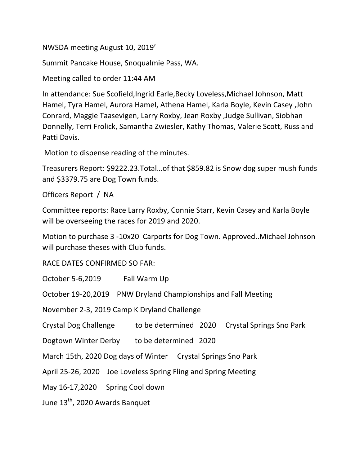NWSDA meeting August 10, 2019'

Summit Pancake House, Snoqualmie Pass, WA.

Meeting called to order 11:44 AM

In attendance: Sue Scofield, Ingrid Earle, Becky Loveless, Michael Johnson, Matt Hamel, Tyra Hamel, Aurora Hamel, Athena Hamel, Karla Boyle, Kevin Casey, John Conrard, Maggie Taasevigen, Larry Roxby, Jean Roxby, Judge Sullivan, Siobhan Donnelly, Terri Frolick, Samantha Zwiesler, Kathy Thomas, Valerie Scott, Russ and Patti Davis.

Motion to dispense reading of the minutes.

Treasurers Report: \$9222.23.Total...of that \$859.82 is Snow dog super mush funds and \$3379.75 are Dog Town funds.

Officers Report / NA

Committee reports: Race Larry Roxby, Connie Starr, Kevin Casey and Karla Boyle will be overseeing the races for 2019 and 2020.

Motion to purchase 3 -10x20 Carports for Dog Town. Approved..Michael Johnson will purchase theses with Club funds.

RACE DATES CONFIRMED SO FAR:

October 5-6,2019 Fall Warm Up

October 19-20,2019 PNW Dryland Championships and Fall Meeting

November 2-3, 2019 Camp K Dryland Challenge

Crystal Dog Challenge to be determined 2020 Crystal Springs Sno Park

Dogtown Winter Derby to be determined 2020

March 15th, 2020 Dog days of Winter Crystal Springs Sno Park

April 25-26, 2020 Joe Loveless Spring Fling and Spring Meeting

May 16-17,2020 Spring Cool down

June 13<sup>th</sup>, 2020 Awards Banquet